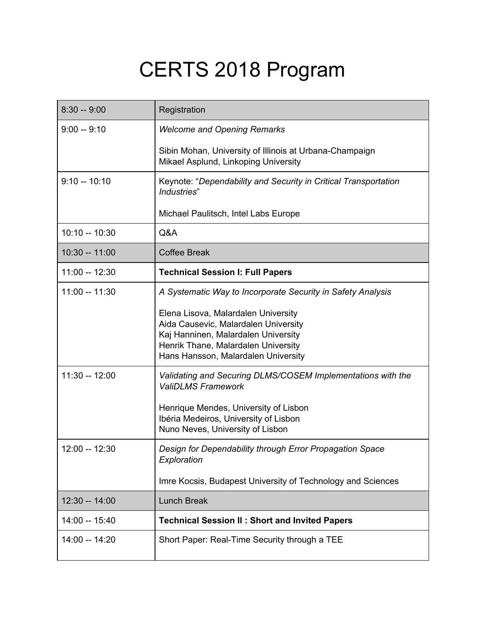## CERTS 2018 Program

| $8:30 - 9:00$   | Registration                                                                                                                                                                                                   |
|-----------------|----------------------------------------------------------------------------------------------------------------------------------------------------------------------------------------------------------------|
| $9:00 - 9:10$   | <b>Welcome and Opening Remarks</b>                                                                                                                                                                             |
|                 | Sibin Mohan, University of Illinois at Urbana-Champaign<br>Mikael Asplund, Linkoping University                                                                                                                |
| $9:10 - 10:10$  | Keynote: "Dependability and Security in Critical Transportation<br>Industries"                                                                                                                                 |
|                 | Michael Paulitsch, Intel Labs Europe                                                                                                                                                                           |
| $10:10 - 10:30$ | Q&A                                                                                                                                                                                                            |
| 10:30 -- 11:00  | <b>Coffee Break</b>                                                                                                                                                                                            |
| 11:00 -- 12:30  | <b>Technical Session I: Full Papers</b>                                                                                                                                                                        |
| $11:00 - 11:30$ | A Systematic Way to Incorporate Security in Safety Analysis                                                                                                                                                    |
|                 | Elena Lisova, Malardalen University<br>Aida Causevic, Malardalen University<br>Kaj Hanninen, Malardalen University<br>Henrik Thane, Malardalen University<br>Hans Hansson, Malardalen University               |
| 11:30 -- 12:00  | Validating and Securing DLMS/COSEM Implementations with the<br><b>ValiDLMS Framework</b><br>Henrique Mendes, University of Lisbon<br>Ibéria Medeiros, University of Lisbon<br>Nuno Neves, University of Lisbon |
| 12:00 -- 12:30  | Design for Dependability through Error Propagation Space<br>Exploration                                                                                                                                        |
|                 | Imre Kocsis, Budapest University of Technology and Sciences                                                                                                                                                    |
| 12:30 -- 14:00  | <b>Lunch Break</b>                                                                                                                                                                                             |
| 14:00 -- 15:40  | <b>Technical Session II: Short and Invited Papers</b>                                                                                                                                                          |
| 14:00 -- 14:20  | Short Paper: Real-Time Security through a TEE                                                                                                                                                                  |